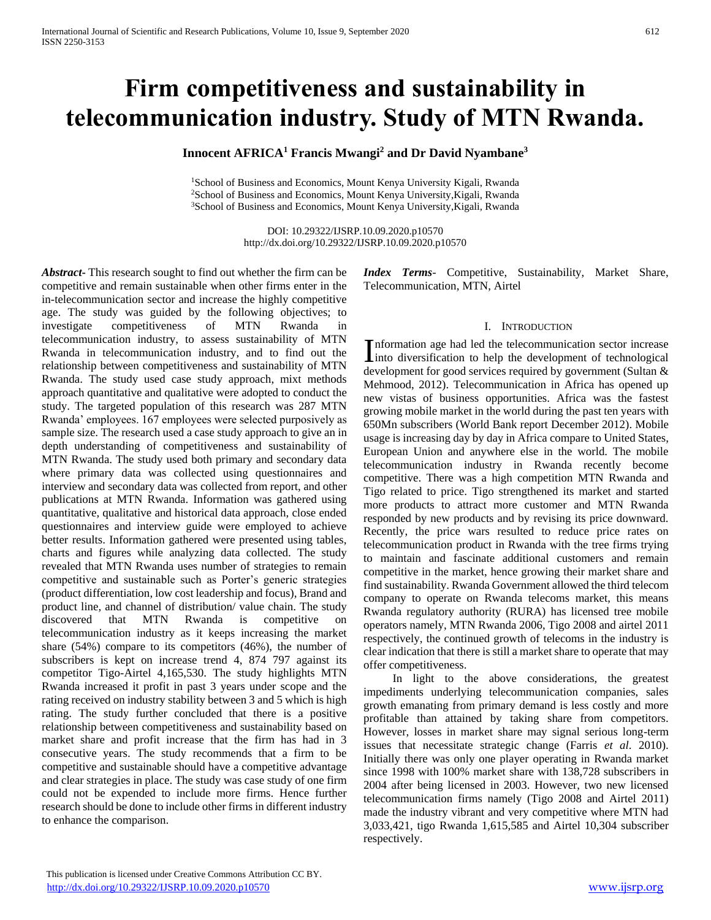# **Firm competitiveness and sustainability in telecommunication industry. Study of MTN Rwanda.**

**Innocent AFRICA<sup>1</sup> Francis Mwangi<sup>2</sup> and Dr David Nyambane<sup>3</sup>**

<sup>1</sup>School of Business and Economics, Mount Kenya University Kigali, Rwanda <sup>2</sup>School of Business and Economics, Mount Kenya University,Kigali, Rwanda <sup>3</sup>School of Business and Economics, Mount Kenya University,Kigali, Rwanda

> DOI: 10.29322/IJSRP.10.09.2020.p10570 http://dx.doi.org/10.29322/IJSRP.10.09.2020.p10570

*Abstract***-** This research sought to find out whether the firm can be competitive and remain sustainable when other firms enter in the in-telecommunication sector and increase the highly competitive age. The study was guided by the following objectives; to investigate competitiveness of MTN Rwanda in telecommunication industry, to assess sustainability of MTN Rwanda in telecommunication industry, and to find out the relationship between competitiveness and sustainability of MTN Rwanda. The study used case study approach, mixt methods approach quantitative and qualitative were adopted to conduct the study. The targeted population of this research was 287 MTN Rwanda' employees. 167 employees were selected purposively as sample size. The research used a case study approach to give an in depth understanding of competitiveness and sustainability of MTN Rwanda. The study used both primary and secondary data where primary data was collected using questionnaires and interview and secondary data was collected from report, and other publications at MTN Rwanda. Information was gathered using quantitative, qualitative and historical data approach, close ended questionnaires and interview guide were employed to achieve better results. Information gathered were presented using tables, charts and figures while analyzing data collected. The study revealed that MTN Rwanda uses number of strategies to remain competitive and sustainable such as Porter's generic strategies (product differentiation, low cost leadership and focus), Brand and product line, and channel of distribution/ value chain. The study discovered that MTN Rwanda is competitive on telecommunication industry as it keeps increasing the market share (54%) compare to its competitors (46%), the number of subscribers is kept on increase trend 4, 874 797 against its competitor Tigo-Airtel 4,165,530. The study highlights MTN Rwanda increased it profit in past 3 years under scope and the rating received on industry stability between 3 and 5 which is high rating. The study further concluded that there is a positive relationship between competitiveness and sustainability based on market share and profit increase that the firm has had in 3 consecutive years. The study recommends that a firm to be competitive and sustainable should have a competitive advantage and clear strategies in place. The study was case study of one firm could not be expended to include more firms. Hence further research should be done to include other firms in different industry to enhance the comparison.

*Index Terms*- Competitive, Sustainability, Market Share, Telecommunication, MTN, Airtel

### I. INTRODUCTION

nformation age had led the telecommunication sector increase Information age had led the telecommunication sector increase<br>into diversification to help the development of technological development for good services required by government (Sultan & Mehmood, 2012). Telecommunication in Africa has opened up new vistas of business opportunities. Africa was the fastest growing mobile market in the world during the past ten years with 650Mn subscribers (World Bank report December 2012). Mobile usage is increasing day by day in Africa compare to United States, European Union and anywhere else in the world. The mobile telecommunication industry in Rwanda recently become competitive. There was a high competition MTN Rwanda and Tigo related to price. Tigo strengthened its market and started more products to attract more customer and MTN Rwanda responded by new products and by revising its price downward. Recently, the price wars resulted to reduce price rates on telecommunication product in Rwanda with the tree firms trying to maintain and fascinate additional customers and remain competitive in the market, hence growing their market share and find sustainability. Rwanda Government allowed the third telecom company to operate on Rwanda telecoms market, this means Rwanda regulatory authority (RURA) has licensed tree mobile operators namely, MTN Rwanda 2006, Tigo 2008 and airtel 2011 respectively, the continued growth of telecoms in the industry is clear indication that there is still a market share to operate that may offer competitiveness.

 In light to the above considerations, the greatest impediments underlying telecommunication companies, sales growth emanating from primary demand is less costly and more profitable than attained by taking share from competitors. However, losses in market share may signal serious long-term issues that necessitate strategic change (Farris *et al*. 2010). Initially there was only one player operating in Rwanda market since 1998 with 100% market share with 138,728 subscribers in 2004 after being licensed in 2003. However, two new licensed telecommunication firms namely (Tigo 2008 and Airtel 2011) made the industry vibrant and very competitive where MTN had 3,033,421, tigo Rwanda 1,615,585 and Airtel 10,304 subscriber respectively.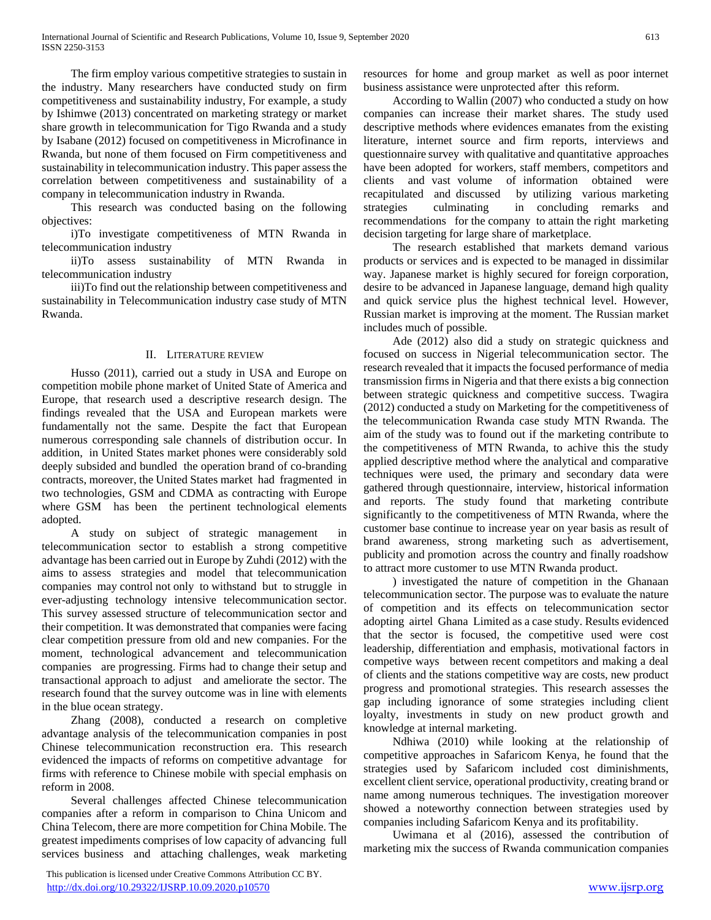The firm employ various competitive strategies to sustain in the industry. Many researchers have conducted study on firm competitiveness and sustainability industry, For example, a study by Ishimwe (2013) concentrated on marketing strategy or market share growth in telecommunication for Tigo Rwanda and a study by Isabane (2012) focused on competitiveness in Microfinance in Rwanda, but none of them focused on Firm competitiveness and sustainability in telecommunication industry. This paper assess the correlation between competitiveness and sustainability of a company in telecommunication industry in Rwanda.

 This research was conducted basing on the following objectives:

 i)To investigate competitiveness of MTN Rwanda in telecommunication industry

 ii)To assess sustainability of MTN Rwanda in telecommunication industry

 iii)To find out the relationship between competitiveness and sustainability in Telecommunication industry case study of MTN Rwanda.

# II. LITERATURE REVIEW

 Husso (2011), carried out a study in USA and Europe on competition mobile phone market of United State of America and Europe, that research used a descriptive research design. The findings revealed that the USA and European markets were fundamentally not the same. Despite the fact that European numerous corresponding sale channels of distribution occur. In addition, in United States market phones were considerably sold deeply subsided and bundled the operation brand of co-branding contracts, moreover, the United States market had fragmented in two technologies, GSM and CDMA as contracting with Europe where GSM has been the pertinent technological elements adopted.

 A study on subject of strategic management in telecommunication sector to establish a strong competitive advantage has been carried out in Europe by Zuhdi (2012) with the aims to assess strategies and model that telecommunication companies may control not only to withstand but to struggle in ever-adjusting technology intensive telecommunication sector. This survey assessed structure of telecommunication sector and their competition. It was demonstrated that companies were facing clear competition pressure from old and new companies. For the moment, technological advancement and telecommunication companies are progressing. Firms had to change their setup and transactional approach to adjust and ameliorate the sector. The research found that the survey outcome was in line with elements in the blue ocean strategy.

 Zhang (2008), conducted a research on completive advantage analysis of the telecommunication companies in post Chinese telecommunication reconstruction era. This research evidenced the impacts of reforms on competitive advantage for firms with reference to Chinese mobile with special emphasis on reform in 2008.

 Several challenges affected Chinese telecommunication companies after a reform in comparison to China Unicom and China Telecom, there are more competition for China Mobile. The greatest impediments comprises of low capacity of advancing full services business and attaching challenges, weak marketing

 This publication is licensed under Creative Commons Attribution CC BY. <http://dx.doi.org/10.29322/IJSRP.10.09.2020.p10570> [www.ijsrp.org](http://ijsrp.org/)

resources for home and group market as well as poor internet business assistance were unprotected after this reform.

 According to Wallin (2007) who conducted a study on how companies can increase their market shares. The study used descriptive methods where evidences emanates from the existing literature, internet source and firm reports, interviews and questionnaire survey with qualitative and quantitative approaches have been adopted for workers, staff members, competitors and clients and vast volume of information obtained were recapitulated and discussed by utilizing various marketing strategies culminating in concluding remarks and recommendations for the company to attain the right marketing decision targeting for large share of marketplace.

 The research established that markets demand various products or services and is expected to be managed in dissimilar way. Japanese market is highly secured for foreign corporation, desire to be advanced in Japanese language, demand high quality and quick service plus the highest technical level. However, Russian market is improving at the moment. The Russian market includes much of possible.

 Ade (2012) also did a study on strategic quickness and focused on success in Nigerial telecommunication sector. The research revealed that it impacts the focused performance of media transmission firms in Nigeria and that there exists a big connection between strategic quickness and competitive success. Twagira (2012) conducted a study on Marketing for the competitiveness of the telecommunication Rwanda case study MTN Rwanda. The aim of the study was to found out if the marketing contribute to the competitiveness of MTN Rwanda, to achive this the study applied descriptive method where the analytical and comparative techniques were used, the primary and secondary data were gathered through questionnaire, interview, historical information and reports. The study found that marketing contribute significantly to the competitiveness of MTN Rwanda, where the customer base continue to increase year on year basis as result of brand awareness, strong marketing such as advertisement, publicity and promotion across the country and finally roadshow to attract more customer to use MTN Rwanda product.

 ) investigated the nature of competition in the Ghanaan telecommunication sector. The purpose was to evaluate the nature of competition and its effects on telecommunication sector adopting airtel Ghana Limited as a case study. Results evidenced that the sector is focused, the competitive used were cost leadership, differentiation and emphasis, motivational factors in competive ways between recent competitors and making a deal of clients and the stations competitive way are costs, new product progress and promotional strategies. This research assesses the gap including ignorance of some strategies including client loyalty, investments in study on new product growth and knowledge at internal marketing.

 Ndhiwa (2010) while looking at the relationship of competitive approaches in Safaricom Kenya, he found that the strategies used by Safaricom included cost diminishments, excellent client service, operational productivity, creating brand or name among numerous techniques. The investigation moreover showed a noteworthy connection between strategies used by companies including Safaricom Kenya and its profitability.

 Uwimana et al (2016), assessed the contribution of marketing mix the success of Rwanda communication companies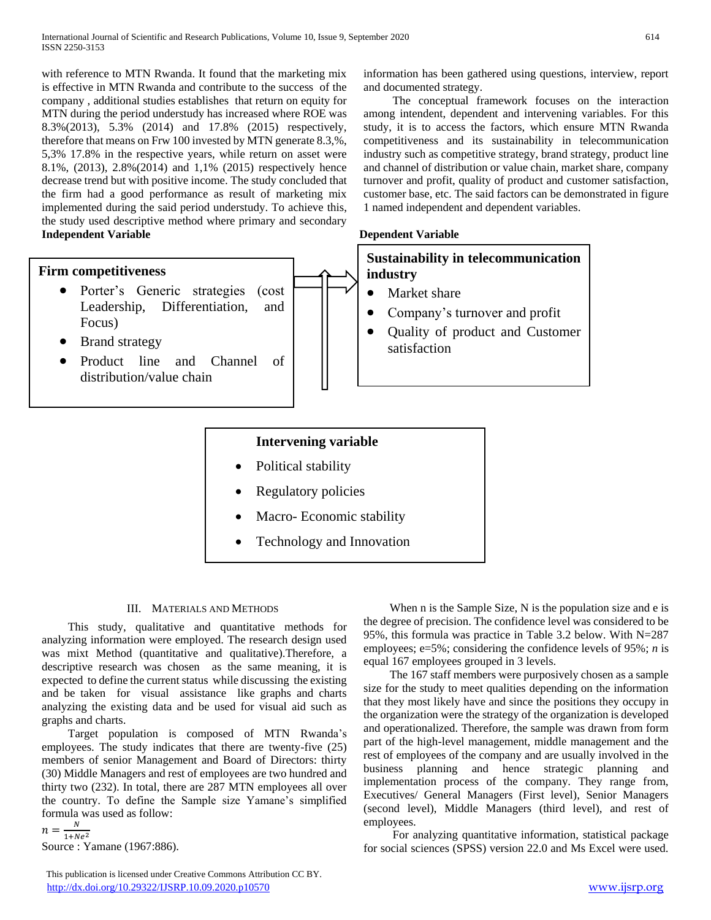with reference to MTN Rwanda. It found that the marketing mix is effective in MTN Rwanda and contribute to the success of the company , additional studies establishes that return on equity for MTN during the period understudy has increased where ROE was 8.3%(2013), 5.3% (2014) and 17.8% (2015) respectively, therefore that means on Frw 100 invested by MTN generate 8.3,%, 5,3% 17.8% in the respective years, while return on asset were 8.1%, (2013), 2.8%(2014) and 1,1% (2015) respectively hence decrease trend but with positive income. The study concluded that the firm had a good performance as result of marketing mix implemented during the said period understudy. To achieve this, the study used descriptive method where primary and secondary **Independent Variable Dependent Variable**

# **Firm competitiveness**

- Porter's Generic strategies (cost Leadership, Differentiation, and Focus)
- Brand strategy

 Product line and Channel of distribution/value chain

information has been gathered using questions, interview, report and documented strategy.

 The conceptual framework focuses on the interaction among intendent, dependent and intervening variables. For this study, it is to access the factors, which ensure MTN Rwanda competitiveness and its sustainability in telecommunication industry such as competitive strategy, brand strategy, product line and channel of distribution or value chain, market share, company turnover and profit, quality of product and customer satisfaction, customer base, etc. The said factors can be demonstrated in figure 1 named independent and dependent variables.

| <b>Sustainability in telecommunication</b> |              |  |  |  |
|--------------------------------------------|--------------|--|--|--|
| industry                                   |              |  |  |  |
| $\bullet$                                  | Market share |  |  |  |

- Company's turnover and profit
- Quality of product and Customer satisfaction

# **Intervening variable**

- Political stability
- Regulatory policies
- Macro- Economic stability
- Technology and Innovation

# III. MATERIALS AND METHODS

 This study, qualitative and quantitative methods for analyzing information were employed. The research design used was mixt Method (quantitative and qualitative).Therefore, a descriptive research was chosen as the same meaning, it is expected to define the current status while discussing the existing and be taken for visual assistance like graphs and charts analyzing the existing data and be used for visual aid such as graphs and charts.

 Target population is composed of MTN Rwanda's employees. The study indicates that there are twenty-five (25) members of senior Management and Board of Directors: thirty (30) Middle Managers and rest of employees are two hundred and thirty two (232). In total, there are 287 MTN employees all over the country. To define the Sample size Yamane's simplified formula was used as follow:

 $n=\frac{N}{1+N}$  $\frac{N}{1+Ne^2}$ Source : Yamane (1967:886).

 This publication is licensed under Creative Commons Attribution CC BY. <http://dx.doi.org/10.29322/IJSRP.10.09.2020.p10570> [www.ijsrp.org](http://ijsrp.org/)

 When n is the Sample Size, N is the population size and e is the degree of precision. The confidence level was considered to be 95%, this formula was practice in Table 3.2 below. With N=287 employees; e=5%; considering the confidence levels of 95%; *n* is equal 167 employees grouped in 3 levels.

 The 167 staff members were purposively chosen as a sample size for the study to meet qualities depending on the information that they most likely have and since the positions they occupy in the organization were the strategy of the organization is developed and operationalized. Therefore, the sample was drawn from form part of the high-level management, middle management and the rest of employees of the company and are usually involved in the business planning and hence strategic planning and implementation process of the company. They range from, Executives/ General Managers (First level), Senior Managers (second level), Middle Managers (third level), and rest of employees.

 For analyzing quantitative information, statistical package for social sciences (SPSS) version 22.0 and Ms Excel were used.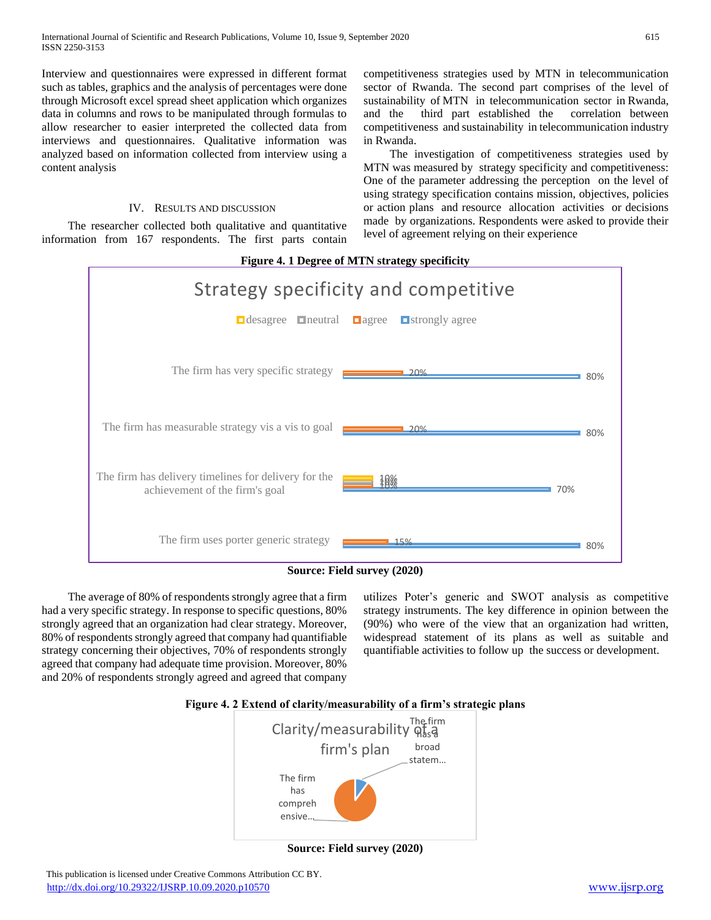Interview and questionnaires were expressed in different format such as tables, graphics and the analysis of percentages were done through Microsoft excel spread sheet application which organizes data in columns and rows to be manipulated through formulas to allow researcher to easier interpreted the collected data from interviews and questionnaires. Qualitative information was analyzed based on information collected from interview using a content analysis

# IV. RESULTS AND DISCUSSION

 The researcher collected both qualitative and quantitative information from 167 respondents. The first parts contain competitiveness strategies used by MTN in telecommunication sector of Rwanda. The second part comprises of the level of sustainability of MTN in telecommunication sector in Rwanda, and the third part established the correlation between competitiveness and sustainability in telecommunication industry in Rwanda.

 The investigation of competitiveness strategies used by MTN was measured by strategy specificity and competitiveness: One of the parameter addressing the perception on the level of using strategy specification contains mission, objectives, policies or action plans and resource allocation activities or decisions made by organizations. Respondents were asked to provide their level of agreement relying on their experience



**Source: Field survey (2020)**

 The average of 80% of respondents strongly agree that a firm had a very specific strategy. In response to specific questions, 80% strongly agreed that an organization had clear strategy. Moreover, 80% of respondents strongly agreed that company had quantifiable strategy concerning their objectives, 70% of respondents strongly agreed that company had adequate time provision. Moreover, 80% and 20% of respondents strongly agreed and agreed that company

utilizes Poter's generic and SWOT analysis as competitive strategy instruments. The key difference in opinion between the (90%) who were of the view that an organization had written, widespread statement of its plans as well as suitable and quantifiable activities to follow up the success or development.





**Source: Field survey (2020)**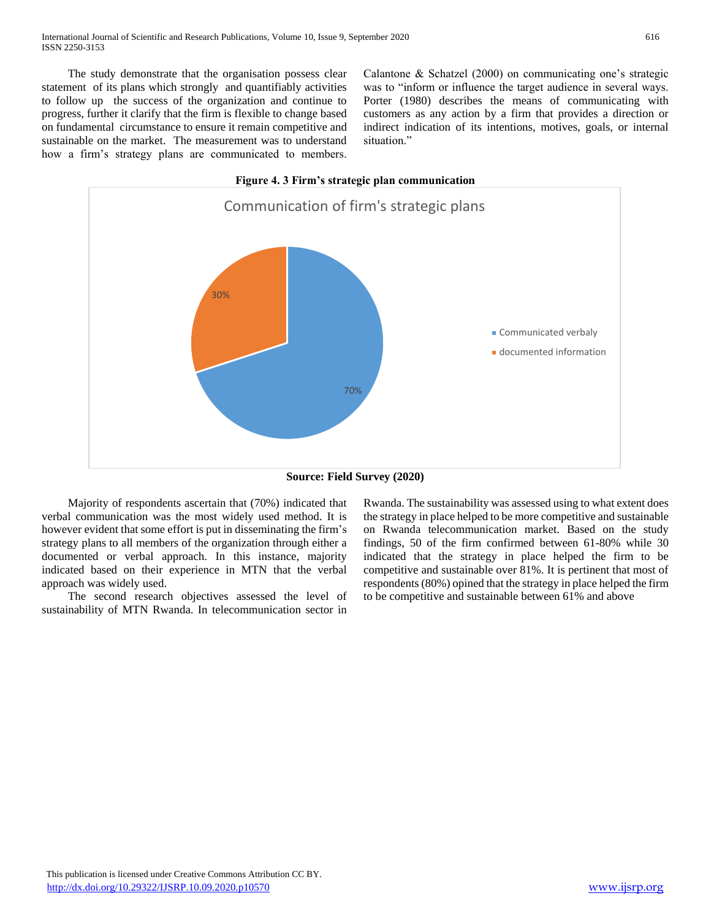The study demonstrate that the organisation possess clear statement of its plans which strongly and quantifiably activities to follow up the success of the organization and continue to progress, further it clarify that the firm is flexible to change based on fundamental circumstance to ensure it remain competitive and sustainable on the market. The measurement was to understand how a firm's strategy plans are communicated to members.

Calantone & Schatzel (2000) on communicating one's strategic was to "inform or influence the target audience in several ways. Porter (1980) describes the means of communicating with customers as any action by a firm that provides a direction or indirect indication of its intentions, motives, goals, or internal situation."



**Source: Field Survey (2020)**

 Majority of respondents ascertain that (70%) indicated that verbal communication was the most widely used method. It is however evident that some effort is put in disseminating the firm's strategy plans to all members of the organization through either a documented or verbal approach. In this instance, majority indicated based on their experience in MTN that the verbal approach was widely used.

 The second research objectives assessed the level of sustainability of MTN Rwanda. In telecommunication sector in

Rwanda. The sustainability was assessed using to what extent does the strategy in place helped to be more competitive and sustainable on Rwanda telecommunication market. Based on the study findings, 50 of the firm confirmed between 61-80% while 30 indicated that the strategy in place helped the firm to be competitive and sustainable over 81%. It is pertinent that most of respondents (80%) opined that the strategy in place helped the firm to be competitive and sustainable between 61% and above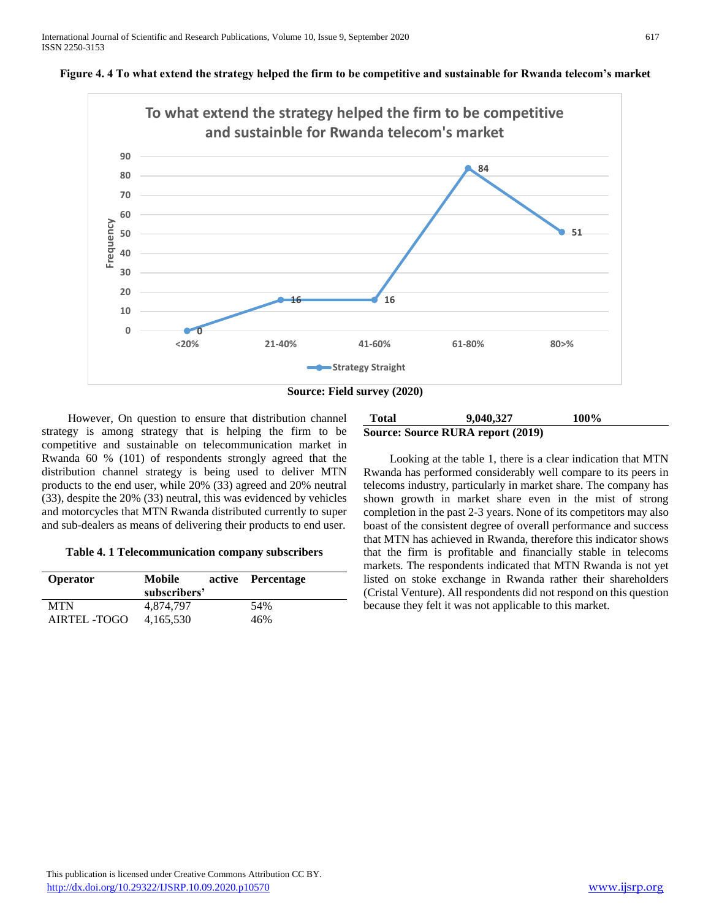



 However, On question to ensure that distribution channel strategy is among strategy that is helping the firm to be competitive and sustainable on telecommunication market in Rwanda 60 % (101) of respondents strongly agreed that the distribution channel strategy is being used to deliver MTN products to the end user, while 20% (33) agreed and 20% neutral (33), despite the 20% (33) neutral, this was evidenced by vehicles and motorcycles that MTN Rwanda distributed currently to super and sub-dealers as means of delivering their products to end user.

| Table 4. 1 Telecommunication company subscribers |  |  |  |
|--------------------------------------------------|--|--|--|
|--------------------------------------------------|--|--|--|

| <b>Operator</b> | Mobile<br>subscribers' | active Percentage |
|-----------------|------------------------|-------------------|
| <b>MTN</b>      | 4.874.797              | 54%               |
| AIRTEL -TOGO    | 4, 165, 530            | 46%               |

# **Total 9,040,327 100% Source: Source RURA report (2019)**

 Looking at the table 1, there is a clear indication that MTN Rwanda has performed considerably well compare to its peers in telecoms industry, particularly in market share. The company has shown growth in market share even in the mist of strong completion in the past 2-3 years. None of its competitors may also boast of the consistent degree of overall performance and success that MTN has achieved in Rwanda, therefore this indicator shows that the firm is profitable and financially stable in telecoms markets. The respondents indicated that MTN Rwanda is not yet listed on stoke exchange in Rwanda rather their shareholders (Cristal Venture). All respondents did not respond on this question because they felt it was not applicable to this market.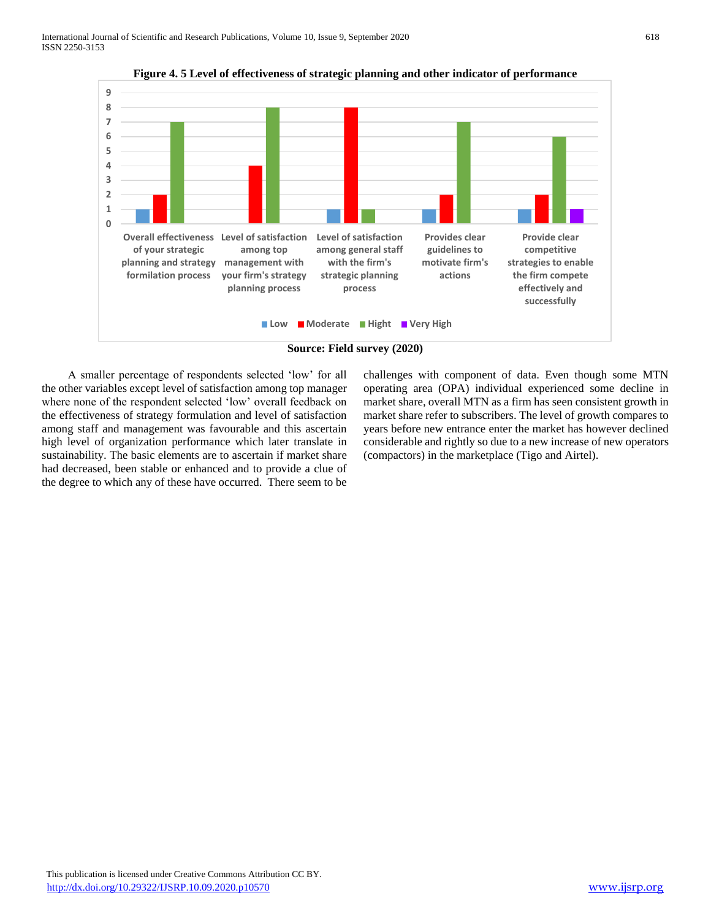

**Figure 4. 5 Level of effectiveness of strategic planning and other indicator of performance**



 A smaller percentage of respondents selected 'low' for all the other variables except level of satisfaction among top manager where none of the respondent selected 'low' overall feedback on the effectiveness of strategy formulation and level of satisfaction among staff and management was favourable and this ascertain high level of organization performance which later translate in sustainability. The basic elements are to ascertain if market share had decreased, been stable or enhanced and to provide a clue of the degree to which any of these have occurred. There seem to be

challenges with component of data. Even though some MTN operating area (OPA) individual experienced some decline in market share, overall MTN as a firm has seen consistent growth in market share refer to subscribers. The level of growth compares to years before new entrance enter the market has however declined considerable and rightly so due to a new increase of new operators (compactors) in the marketplace (Tigo and Airtel).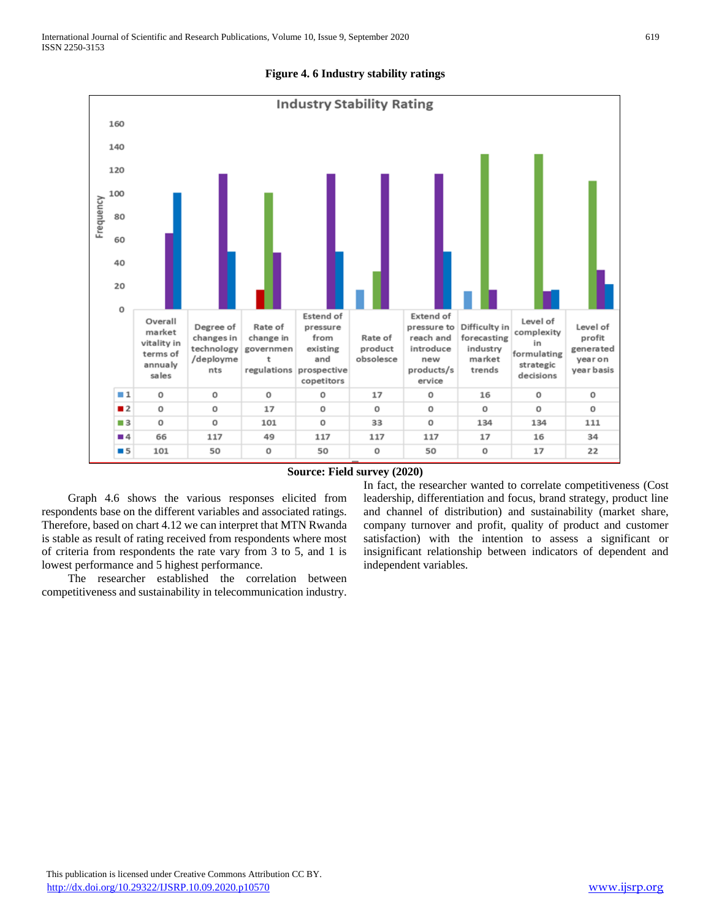

# **Figure 4. 6 Industry stability ratings**

#### **Source: Field survey (2020)**

 Graph 4.6 shows the various responses elicited from respondents base on the different variables and associated ratings. Therefore, based on chart 4.12 we can interpret that MTN Rwanda is stable as result of rating received from respondents where most of criteria from respondents the rate vary from 3 to 5, and 1 is lowest performance and 5 highest performance.

 The researcher established the correlation between competitiveness and sustainability in telecommunication industry. In fact, the researcher wanted to correlate competitiveness (Cost leadership, differentiation and focus, brand strategy, product line and channel of distribution) and sustainability (market share, company turnover and profit, quality of product and customer satisfaction) with the intention to assess a significant or insignificant relationship between indicators of dependent and independent variables.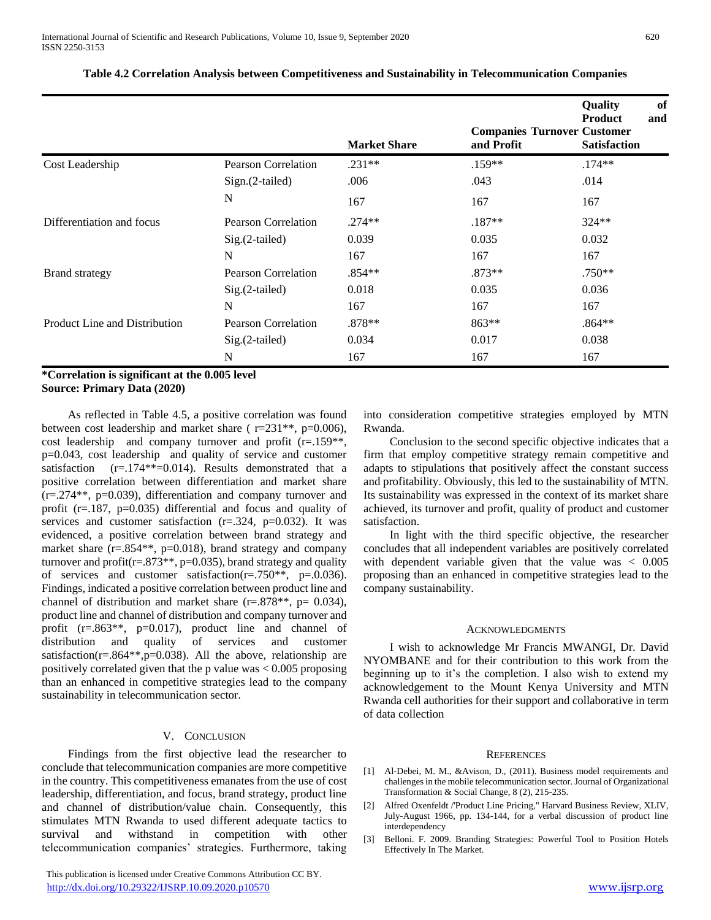|                            |                            |                                 | <b>Quality</b><br>of<br><b>Product</b><br>and                |
|----------------------------|----------------------------|---------------------------------|--------------------------------------------------------------|
|                            |                            |                                 | <b>Satisfaction</b>                                          |
|                            |                            |                                 | $.174**$                                                     |
| $Sign.(2-tailed)$          | .006                       | .043                            | .014                                                         |
| N                          | 167                        | 167                             | 167                                                          |
| Pearson Correlation        | $.274**$                   | $.187**$                        | 324**                                                        |
| $Sig.(2-tailed)$           | 0.039                      | 0.035                           | 0.032                                                        |
| N                          | 167                        | 167                             | 167                                                          |
| Pearson Correlation        | $.854**$                   | $.873**$                        | $.750**$                                                     |
| $Sig.(2-tailed)$           | 0.018                      | 0.035                           | 0.036                                                        |
| N                          | 167                        | 167                             | 167                                                          |
| <b>Pearson Correlation</b> | .878**                     | 863**                           | $.864**$                                                     |
| Sig.(2-tailed)             | 0.034                      | 0.017                           | 0.038                                                        |
| N                          | 167                        | 167                             | 167                                                          |
|                            | <b>Pearson Correlation</b> | <b>Market Share</b><br>$.231**$ | <b>Companies Turnover Customer</b><br>and Profit<br>$.159**$ |

# **Table 4.2 Correlation Analysis between Competitiveness and Sustainability in Telecommunication Companies**

#### **\*Correlation is significant at the 0.005 level Source: Primary Data (2020)**

 As reflected in Table 4.5, a positive correlation was found between cost leadership and market share ( r=231\*\*, p=0.006), cost leadership and company turnover and profit (r=.159\*\*, p=0.043, cost leadership and quality of service and customer satisfaction  $(r=.174**=0.014)$ . Results demonstrated that a positive correlation between differentiation and market share (r=.274\*\*, p=0.039), differentiation and company turnover and profit ( $r = 187$ ,  $p = 0.035$ ) differential and focus and quality of services and customer satisfaction  $(r=.324, p=.0032)$ . It was evidenced, a positive correlation between brand strategy and market share  $(r=.854**, p=.0018)$ , brand strategy and company turnover and profit $(r=.873**, p=.0.035)$ , brand strategy and quality of services and customer satisfaction( $r = .750**$ ,  $p = .0.036$ ). Findings, indicated a positive correlation between product line and channel of distribution and market share  $(r=.878**, p=.0.034)$ , product line and channel of distribution and company turnover and profit  $(r=.863**, p=.0017)$ , product line and channel of distribution and quality of services and customer satisfaction( $r=.864**$ , $p=0.038$ ). All the above, relationship are positively correlated given that the p value was < 0.005 proposing than an enhanced in competitive strategies lead to the company sustainability in telecommunication sector.

# V. CONCLUSION

 Findings from the first objective lead the researcher to conclude that telecommunication companies are more competitive in the country. This competitiveness emanates from the use of cost leadership, differentiation, and focus, brand strategy, product line and channel of distribution/value chain. Consequently, this stimulates MTN Rwanda to used different adequate tactics to survival and withstand in competition with other telecommunication companies' strategies. Furthermore, taking

 This publication is licensed under Creative Commons Attribution CC BY. <http://dx.doi.org/10.29322/IJSRP.10.09.2020.p10570> [www.ijsrp.org](http://ijsrp.org/)

into consideration competitive strategies employed by MTN Rwanda.

 Conclusion to the second specific objective indicates that a firm that employ competitive strategy remain competitive and adapts to stipulations that positively affect the constant success and profitability. Obviously, this led to the sustainability of MTN. Its sustainability was expressed in the context of its market share achieved, its turnover and profit, quality of product and customer satisfaction.

 In light with the third specific objective, the researcher concludes that all independent variables are positively correlated with dependent variable given that the value was < 0.005 proposing than an enhanced in competitive strategies lead to the company sustainability.

#### ACKNOWLEDGMENTS

 I wish to acknowledge Mr Francis MWANGI, Dr. David NYOMBANE and for their contribution to this work from the beginning up to it's the completion. I also wish to extend my acknowledgement to the Mount Kenya University and MTN Rwanda cell authorities for their support and collaborative in term of data collection

#### **REFERENCES**

- [1] Al-Debei, M. M., &Avison, D., (2011). Business model requirements and challenges in the mobile telecommunication sector. Journal of Organizational Transformation & Social Change, 8 (2), 215-235.
- [2] Alfred Oxenfeldt /'Product Line Pricing," Harvard Business Review, XLIV, July-August 1966, pp. 134-144, for a verbal discussion of product line interdependency
- [3] Belloni. F. 2009. Branding Strategies: Powerful Tool to Position Hotels Effectively In The Market.